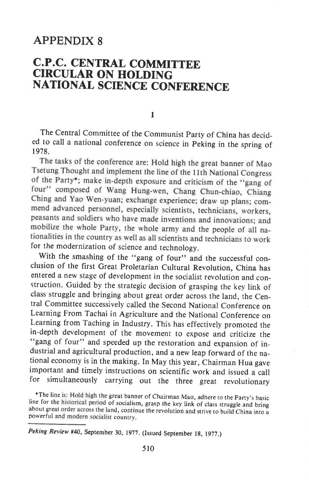# APPENDIX <sup>8</sup>

# C.P.C. CENTRAL COMMITTEE CIRCULAR ON HOLDING NATIONAL SCIENCE CONFERENCE

I

The central committee of the communist party of china has decided to call a national conference on science in peking in the spring of 1978.

The tasks of the conference are: Hold high the great banner of Mao Tsetung Thought and implement the line of the 11th National Congress of the Party\*; make in-depth exposure and criticism of the "gang of four" composed of Wang Hung-wen, Chang Chun-chiao, Chiang Ching and Yao Wen-yuan; exchange experience; draw up plans; commend advanced personnel, especially scientists, technicians, workers, peasants and soldiers who have made inventions and innovations; and mobilize the whole Party, the whole army and the people of all nationalities in the country as well as all scientists and technicians to work for the modernization of science and technology.

with the smashing of the "gang of four" and the successful conclusion of the first Great proletarian cultural Revolution, china has entered a new stage of development in the socialist revolution and construction. Guided by the strategic decision of grasping the key link of class struggle and bringing about great order across the land, the central committee successively called the Second National conference on Learning From Tachai in Agriculture and the National conference on Learning from Taching in Industry. This has effectively promoted the in-depth development of the movement to expose and criticize the "gang of four" and speeded up the restoration and expansion of industrial and agricultural production, and a new leap forward of the national economy is in the making. In May this year, Chairman Hua gave important and timely instructions on scientific work and issued a call for simultaneously carrying out the three great revolutionary

<sup>\*</sup>The line is: Hold high the great banner of Chairman Mao, adhere to the Party's basic line for the historical period of socialism, grasp the key link of class struggle and bring about great order across the land, continue powerful and modern socialist country.

Peking Review #40, September 30, 1977. (Issued September 18, 1977.)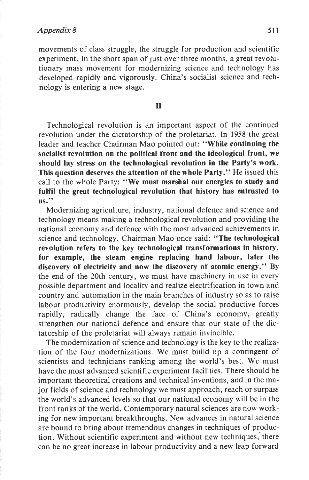movements of class struggle, the struggle for production and scientific experiment. In the short span of just over three months, a great revolutionary mass movement for modernizing science and technology has developed rapidly and vigorously. China's socialist science and technology is entering a new stage.

## II

Technological revolution is an important aspect of the continued revolution under the dictatorship of the proletariat. In 1958 the great leader and teacher Chairman Mao pointed out: "While continuing the socialist revolution on the political front and the ideological front, we should lay stress on the technological revolution in the Party's work. This question deserves the attention of the whole Party." He issued this call to the whole Party: "We must marshal our energies to study and fulfil the great technological revolution that history has entrusted to us."

Modernizing agriculture, industry, national defence and science and technology means making a technological revolution and providing the national economy and defence with the most advanced achievements in science and technology. Chairman Mao once said: "The technological revolution refers to the key technological transformations in history, for example, the steam engine replacing hand labour, later the discovery of electricity and now the discovery of atomic energy." By the end of the 20th century, we must have machinery in use in every possible department and locality and realize electrification in town and country and automation in the main branches of industry so as to raise labour productivity enormously, develop the social productive forces rapidly, radically change the face of China's economy, greatly strengthen our national defence and ensure that our state of the dictatorship of the proletariat will always remain invincible.

The modernization of science and technology is the key to the realization of the four modernizations. We must build up a contingent of scientists and technicians ranking among the world's best. We must have the most advanced scientific experiment facilities. There should be important theoretical creations and technical inventions, and in the major fields of science and technology we must approach, reach or surpass the world's advanced levels so that our national economy will be in the front ranks of the world. Contemporary natural sciences are now working for new important breakthroughs. New advances in natural science are bound to bring about tremendous changes in techniques of production. Without scientific experiment and without new techniques, there can be no great increase in labour productivity and a new leap forward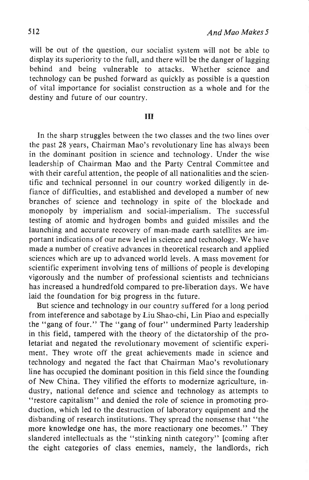will be out of the question, our socialist system will not be able to display its superiority to the full, and there will be the danger of lagging behind and being vulnerable to attacks. Whether science and technology can be pushed forward as quickly as possible is a question of vital importance for socialist construction as a whole and for the destiny and future of our country.

### III

In the sharp struggles between the two classes and the two lines over the past 28 years, Chairman Mao's revolutionary line has always been in the dominant position in science and technology. Under the wise Ieadership of Chairman Mao and the Party Central Committee and with their careful attention, the people of all nationalities and the scientific and technical personnel in our country worked diligently in defiance of difficulties, and established and developed a number of new branches of science and technology in spite of the blockade and monopoly by imperialism and social-imperialism. The successful testing of atomic and hydrogen bombs and guided missiles and the launching and accurate recovery of man-made earth satellites are important indications of our new level in science and technology. We have made a number of creative advances in theoretical research and applied sciences which are up to advanced world levels. A mass movement for scientific experiment involving tens of millions of people is developing vigorously and the number of professional scientists and technicians has increased a hundredfold compared to pre-liberation days. We have laid the foundation for big progress in the future.

But science and technology in our country suffered for a long period from inteference and sabotage by Liu Shao-chi, Lin Piao and especially the "gang of four." The "gang of four" undermined Party leadership in this field, tampered with the theory of the dictatorship of the proletariat and negated the revolutionary movement of scientific experiment. They wrote off the great achievements made in science and technology and negated the fact that Chairman Mao's revolutionary line has occupied the dominant position in this field since the founding of New China. They vilified the efforts to modernize agriculture, industry, national defence and science and technology as attempts to "restore capitalism" and denied the role of science in promoting production, which led to the destruction of laboratory equipment and the disbanding of research institutions. They spread the nonsense that "the more knowledge one has, the more reactionary one becomes." They slandered intellectuals as the "stinking ninth category" [coming after the eight categories of class enemies, namely, the landlords, rich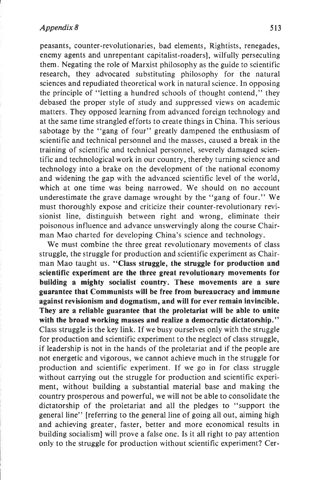## Appendix 8

peasants, counter-revolutionaries, bad elements, Rightists, renegades, enemy agents and unrepentant capitalist-roaders), wilfully persecuting them. Negating the role of Marxist philosophy as the guide to scientific research, they advocated substituting philosophy for the natural sciences and repudiated theoretical work in natural science. In opposing the principle of "letting a hundred schools of thought contend," they debased the proper style of study and suppressed views on academic matters. They opposed learning from advanced foreign technology and at the same time strangled efforts to create things in China. This serious sabotage by the "gang of four" greatly dampened the enthusiasm of scientific and technical personnel and the masses, caused a break in the training of scientific and technical personnel, severely damaged scientific and technological work in our country, thereby turning science and technology into a brake on the development of the national economy and widening the gap with the advanced scientific level of the world, which at one time was being narrowed. We should on no account underestimate the grave damage wrought by the "gang of four." We must thoroughly expose and criticize their counter-revolutionary revisionist line, distinguish between right and wrong, eliminate their poisonous influence and advance unswervingly along the course Chairman Mao charted for developing China's science and technology.

We must combine the three great revolutionary movements of class struggle, the struggle for production and scientific experiment as Chairman Mao taught us. "Class struggle, the struggle for production and scientific experiment are the three great revolutionary movements for building a mighty socialist country. These movements are a sure guarantee that Communists will be free from bureaucracy and immune against revisionism and dogmatism, and will for ever remain invincible. They are a reliable guarantee that the proletariat will be able to unite with the broad working masses and realize a democratic dictatorship." Class struggle is the key link. If we busy ourselves only with the struggle for production and scientific experiment to the neglect of class struggle, if leadership is not in the hands of the proletariat and if the people are not energetic and vigorous, we cannot achieve much in the struggle for production and scientific experiment. If we go in for class struggle without carrying out the struggle for production and scientific experiment, without building a substantial material base and making the country prosperous and powerful, we will not be able to consolidate the dictatorship of the proletariat and all the pledges to "support the general line" [referring to the general line of going all out, aiming high and achieving greater, faster, better and more economical results in building socialisml will prove a false one. Is it all right to pay attention only to the struggle for production without scientific experiment? Cer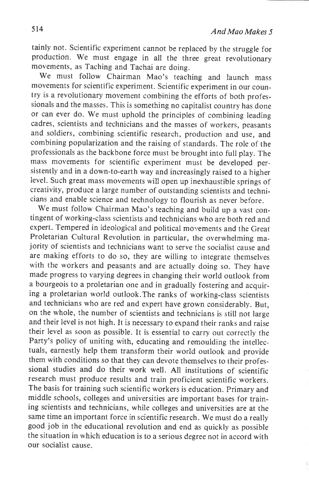514 And Mao Makes 5

tainly not. scientific experiment cannot be replaced by the struggle for production. We must engage in all the three great revolutionary movements, as Taching and Tachai are doing.

We must follow Chairman Mao's teaching and launch mass movements for scientific experiment. Scientific experiment in our country is a revolutionary movement combining the efforts of both professionals and the masses. This is something no capitalist country has done or can ever do. We must uphold the principles of combining leading cadres, scientists and technicians and the masses of workers, peasants and soldiers, combining scientific research, production and use, and combining popularization and the raising of standards. The role of the professionals as the backbone force must be brought into full play. The mass movements for scientific experiment must be developed persistently and in a down-to-earth way and increasingly raised to a higher level. Such great mass movements will open up inexhaustible springs of creativity, produce alarge number of outstanding scientists and technicians and enable science and technology to flourish as never before.

We must follow Chairman Mao's teaching and build up a vast contingent of working-class scientists and technicians who are both red and expert. Tempered in ideological and political movements and the Great Proletarian Cultural Revolution in particular, the overwhelming majority of scientists and technicians want to serve the socialist cause and are making efforts to do so, they are willing to integrate themselves with the workers and peasants and are actually doing so. They have made progress to varying degrees in changing their world outlook from a bourgeois to a proletarian one and in gradually fostering and acquiring a proletarian world outlook.The ranks of working-class scientists and technicians who are red and expert have grown considerably. But, on the whole, the number of scientists and technicians is still not large and their level is not high. It is necessary to expand their ranks and raise their level as soon as possible, It is essential to carry out correctly the Party's policy of uniting with, educating and remoulding the intellectuals, earnestly help them transform their world outlook and provide them with conditions so that they can devote themselves to their professional studies and do their work well. All institutions of scientific research must produce results and train proficient scientific workers. The basis for training such scientific workers is education. primary and middle schools, colleges and universities are important bases for training scientists and technicians, while colleges and universities are at the same time an important force in scientific research. We must do a really good job in the educational revolution and end as quickly as possible the situation in which education is to a serious degree not in accord with our socialist cause.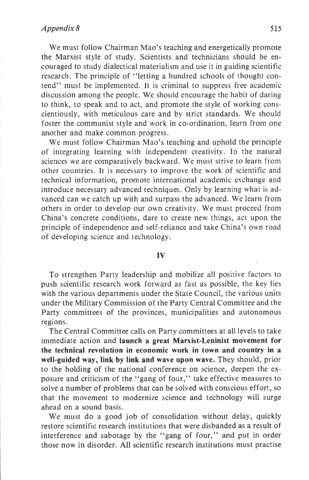# Appendix 8

We must follow Chairman Mao's teaching and energetically promote the Marxist style of study. Scientists and technicians should be encouraged to study dialectical materialism and use it in guiding scientific research. The principle of "letting a hundred schools of thought contend" must be implemented. It is criminal to suppress free academic discussion among the people. We should encourage the habit of daring to think, to speak and to act, and promote the style of working conscientiously, with meticulous care and by strict standards. We should foster the communist style and work in co-ordination, learn from one another and make common progress.

We must follow Chairman Mao's teaching and uphold the principle of integrating learning with independent creativity. In the natural sciences we are comparatively backward. We must strive to learn from other countries. It is necessary to improve the work of scientific and technical information, promote international academic exchange and introduce necessary advanced techniques. Only by learning what is advanced can we catch up with and surpass the advanced. We learn from others in order to develop our own creativity. We must proceed from China's concrete conditions, dare to create new things, act upon the principle of independence and self-reliance and take China's own road of developing science and technology.

#### IV

To strengthen Party leadership and mobilize all positive factors to push scientific research work forward as fast as possible, the key lies with the various departments under the State Council, the various units under the Military Commission of the Party Central Committee and the Party committees of the provinces, municipalities and autonomous regions.

The Central Committee calls on Party committees at all levels to take immediate action and launch a great Marxist-Leninist movement for the technical revolution in economic work in town and country in <sup>a</sup> well-guided way, link by link and wave upon wave. They should, prior to the holding of the national conference on science, deepen the exposure and criticism of the "gang of four," take effective measures to solve a number of problems that can be solved with conscious effort, so that the movement to modernize science and technology will surge ahead on a sound basis.

We must do a good job of consolidation without delay, quickly restore scientific research institutions that were disbanded as a result of interference and sabotage by the "gang of four," and put in order those now in disorder, All scientific research institutions must practise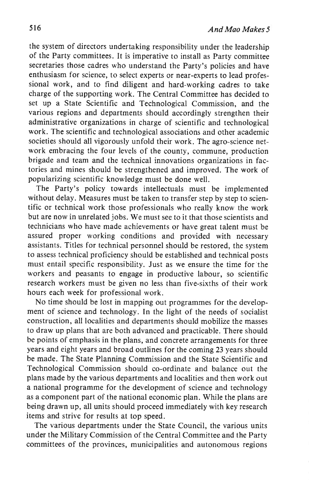the system of directors undertaking responsibility under the leadership of the Party committees. It is imperative to install as Party committee secretaries those cadres who understand the Party's policies and have enthusiasm for science, to select experts or near-experts to lead professional work, and to find diligent and hard-working cadres to take charge of the supporting work. The Central Committee has decided to set up a State Scientific and Technological Commission, and the various regions and departments should accordingly strengthen their administrative organizations in charge of scientific and technological work. The scientific and technological associations and other academic societies should all vigorously unfold their work. The agro-science network embracing the four levels of the county, commune, production brigade and team and the technical innovations organizations in factories and mines should be strengthened and improved. The work of popularizing scientific knowledge must be done well.

The Party's policy towards intellectuals must be implemented without delay. Measures must be taken to transfer step by step to scientific or technical work those professionals who really know the work but are now in unrelated jobs. We must see to it that those scientists and technicians who have made achievements or have great talent must be assured proper working conditions and provided with necessary assistants. Titles for technical personnel should be restored, the system to assess technical proficiency should be established and technical posts must entail specific responsibility. Just as we ensure the time for the workers and peasants to engage in productive labour, so scientific research workers must be given no less than five-sixths of their work hours each week for professional work.

No time should be lost in mapping out programmes for the development of science and technology. In the light of the needs of socialist construction, all localities and departments should mobilize the masses to draw up plans that are both advanced and practicable. There should be points of emphasis in the plans, and concrete arrangements for three years and eight years and broad outlines for the coming 23 years should be made. The State Planning Commission and the State Scientific and Technological Commission should co-ordinate and balance out the plans made by the various departments and localities and then work out a national programme for the development of science and technology as a component part of the national economic plan. While the plans are being drawn up, all units should proceed immediately with key research items and strive for results at top speed.

The various departments under the State Council, the various units under the Military Commission of the Central Committee and the Party committees of the provinces, municipalities and autonomous regions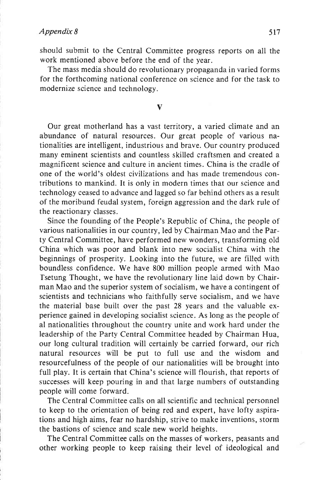should submit to the Central Committee progress reports on all the work mentioned above before the end of the year.

The mass media should do revolutionary propaganda in varied forms for the forthcoming national conference on science and for the task to modernize science and technology.

v

Our great motherland has a vast territory, a varied climate and an abundance of natural resources. Our great people of various nationalities are intelligent, industrious and brave. Our country produced many eminent scientists and countless skilled craftsmen and created a magnificent science and culture in ancient times. China is the cradle of one of the world's oldest civilizations and has made tremendous contributions to mankind. It is only in modern times that our science and technology ceased to advance and lagged so far behind others as a result of the moribund feudal system, foreign aggression and the dark rule of the reactionary classes.

Since the founding of the People's Republic of China, the people of various nationalities in our country, led by Chairman Mao and the Party Central Committee, have performed new wonders, transforming old China which was poor and blank into new socialist China with the beginnings of prosperity. Looking into the future, we are filled with boundless confidence. We have 800 million people armed with Mao Isetung Thought, we have the revolutionary line laid down by Chairman Mao and the superior system of socialism, we have a contingent of scientists and technicians who faithfully serve socialism, and we have the material base built over the past 28 years and the valuable experience gained in developing socialist science. As iong as the people of al nationalities throughout the country unite and work hard under the leadership of the Party Central Committee headed by Chairman Hua, our long cultural tradition will certainly be carried forward, our rich natural resources will be put to full use and the wisdom and resourcefulness of the people of our nationalities will be brought into full play. It is certain that China's science will flourish, that reports of successes will keep pouring in and that large numbers of outstanding people will come forward.

The Central Committee calls on all scientific and technical personnel to keep to the orientation of being red and expert, have lofty aspirations and high aims, fear no hardship, strive to make inventions, storm the bastions of science and scale new world heights.

The Central Committee calls on the masses of workers, peasants and other working people to keep raising their level of ideological and